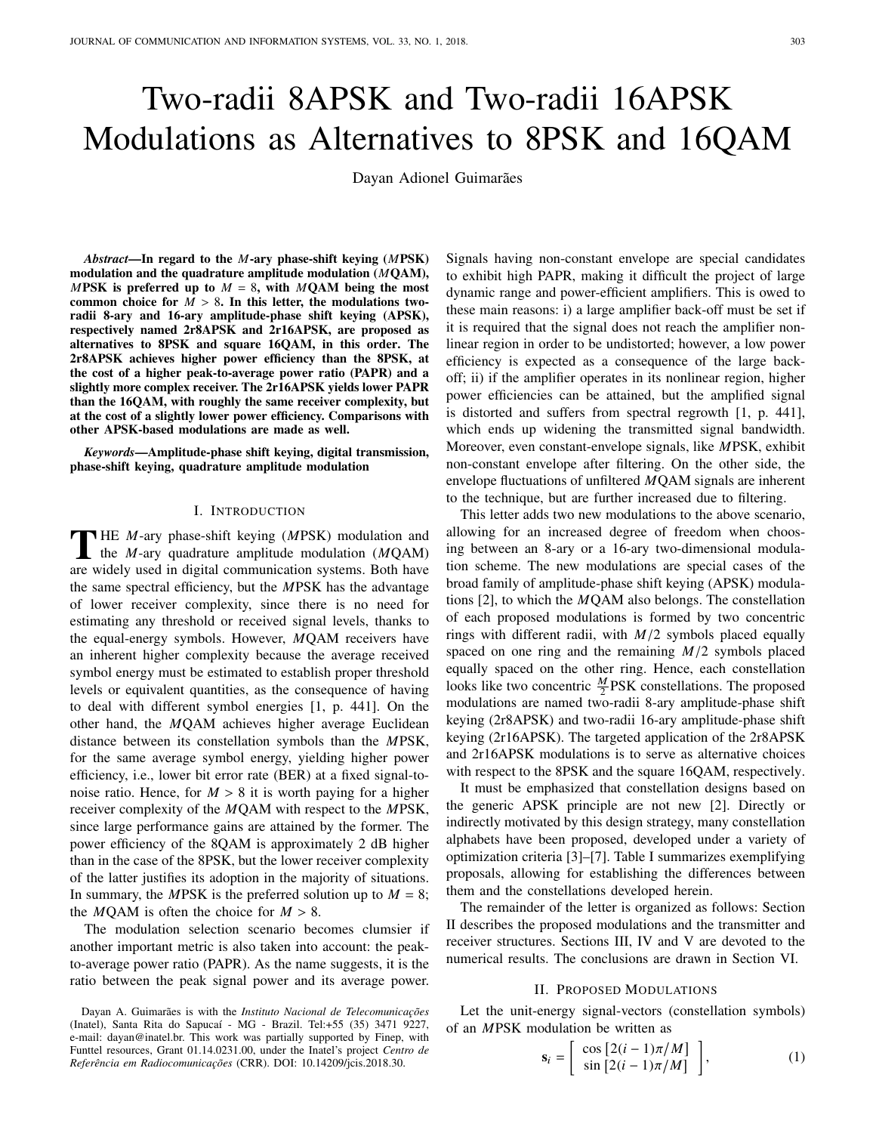# Two-radii 8APSK and Two-radii 16APSK Modulations as Alternatives to 8PSK and 16QAM

Dayan Adionel Guimarães

*Abstract*—In regard to the *M*-ary phase-shift keying (*M*PSK) modulation and the quadrature amplitude modulation (*M*QAM), *MPSK* is preferred up to  $M = 8$ , with *MQAM* being the most common choice for  $M > 8$ . In this letter, the modulations tworadii 8-ary and 16-ary amplitude-phase shift keying (APSK), respectively named 2r8APSK and 2r16APSK, are proposed as alternatives to 8PSK and square 16QAM, in this order. The 2r8APSK achieves higher power efficiency than the 8PSK, at the cost of a higher peak-to-average power ratio (PAPR) and a slightly more complex receiver. The 2r16APSK yields lower PAPR than the 16QAM, with roughly the same receiver complexity, but at the cost of a slightly lower power efficiency. Comparisons with other APSK-based modulations are made as well.

*Keywords*—Amplitude-phase shift keying, digital transmission, phase-shift keying, quadrature amplitude modulation

## I. INTRODUCTION

THE *M*-ary phase-shift keying (*MPSK*) modulation and<br>the *M*-ary quadrature amplitude modulation (*MQAM*) the *M*-ary quadrature amplitude modulation (*M*QAM) are widely used in digital communication systems. Both have the same spectral efficiency, but the *M*PSK has the advantage of lower receiver complexity, since there is no need for estimating any threshold or received signal levels, thanks to the equal-energy symbols. However, *M*QAM receivers have an inherent higher complexity because the average received symbol energy must be estimated to establish proper threshold levels or equivalent quantities, as the consequence of having to deal with different symbol energies [1, p. 441]. On the other hand, the *M*QAM achieves higher average Euclidean distance between its constellation symbols than the *M*PSK, for the same average symbol energy, yielding higher power efficiency, i.e., lower bit error rate (BER) at a fixed signal-tonoise ratio. Hence, for  $M > 8$  it is worth paying for a higher receiver complexity of the *M*QAM with respect to the *M*PSK, since large performance gains are attained by the former. The power efficiency of the 8QAM is approximately 2 dB higher than in the case of the 8PSK, but the lower receiver complexity of the latter justifies its adoption in the majority of situations. In summary, the *MPSK* is the preferred solution up to  $M = 8$ ; the *M*QAM is often the choice for  $M > 8$ .

The modulation selection scenario becomes clumsier if another important metric is also taken into account: the peakto-average power ratio (PAPR). As the name suggests, it is the ratio between the peak signal power and its average power. Signals having non-constant envelope are special candidates to exhibit high PAPR, making it difficult the project of large dynamic range and power-efficient amplifiers. This is owed to these main reasons: i) a large amplifier back-off must be set if it is required that the signal does not reach the amplifier nonlinear region in order to be undistorted; however, a low power efficiency is expected as a consequence of the large backoff; ii) if the amplifier operates in its nonlinear region, higher power efficiencies can be attained, but the amplified signal is distorted and suffers from spectral regrowth [1, p. 441], which ends up widening the transmitted signal bandwidth. Moreover, even constant-envelope signals, like *M*PSK, exhibit non-constant envelope after filtering. On the other side, the envelope fluctuations of unfiltered *M*QAM signals are inherent to the technique, but are further increased due to filtering.

This letter adds two new modulations to the above scenario, allowing for an increased degree of freedom when choosing between an 8-ary or a 16-ary two-dimensional modulation scheme. The new modulations are special cases of the broad family of amplitude-phase shift keying (APSK) modulations [2], to which the *M*QAM also belongs. The constellation of each proposed modulations is formed by two concentric rings with different radii, with *<sup>M</sup>*/<sup>2</sup> symbols placed equally spaced on one ring and the remaining *<sup>M</sup>*/<sup>2</sup> symbols placed equally spaced on the other ring. Hence, each constellation looks like two concentric  $\frac{M}{2}$ PSK constellations. The proposed modulations are named two-radii 8-ary amplitude-phase shift keying (2r8APSK) and two-radii 16-ary amplitude-phase shift keying (2r16APSK). The targeted application of the 2r8APSK and 2r16APSK modulations is to serve as alternative choices with respect to the 8PSK and the square 16QAM, respectively.

It must be emphasized that constellation designs based on the generic APSK principle are not new [2]. Directly or indirectly motivated by this design strategy, many constellation alphabets have been proposed, developed under a variety of optimization criteria [3]–[7]. Table I summarizes exemplifying proposals, allowing for establishing the differences between them and the constellations developed herein.

The remainder of the letter is organized as follows: Section II describes the proposed modulations and the transmitter and receiver structures. Sections III, IV and V are devoted to the numerical results. The conclusions are drawn in Section VI.

#### II. PROPOSED MODULATIONS

Let the unit-energy signal-vectors (constellation symbols) of an *M*PSK modulation be written as " #

$$
\mathbf{s}_{i} = \left[ \begin{array}{c} \cos \left[ 2(i-1)\pi/M \right] \\ \sin \left[ 2(i-1)\pi/M \right] \end{array} \right],\tag{1}
$$

Dayan A. Guimarães is with the *Instituto Nacional de Telecomunicações* (Inatel), Santa Rita do Sapucaí - MG - Brazil. Tel:+55 (35) 3471 9227, e-mail: dayan@inatel.br. This work was partially supported by Finep, with Funttel resources, Grant 01.14.0231.00, under the Inatel's project *Centro de Referencia em Radiocomunicac¸ ˆ oes ˜* (CRR). DOI: 10.14209/jcis.2018.30.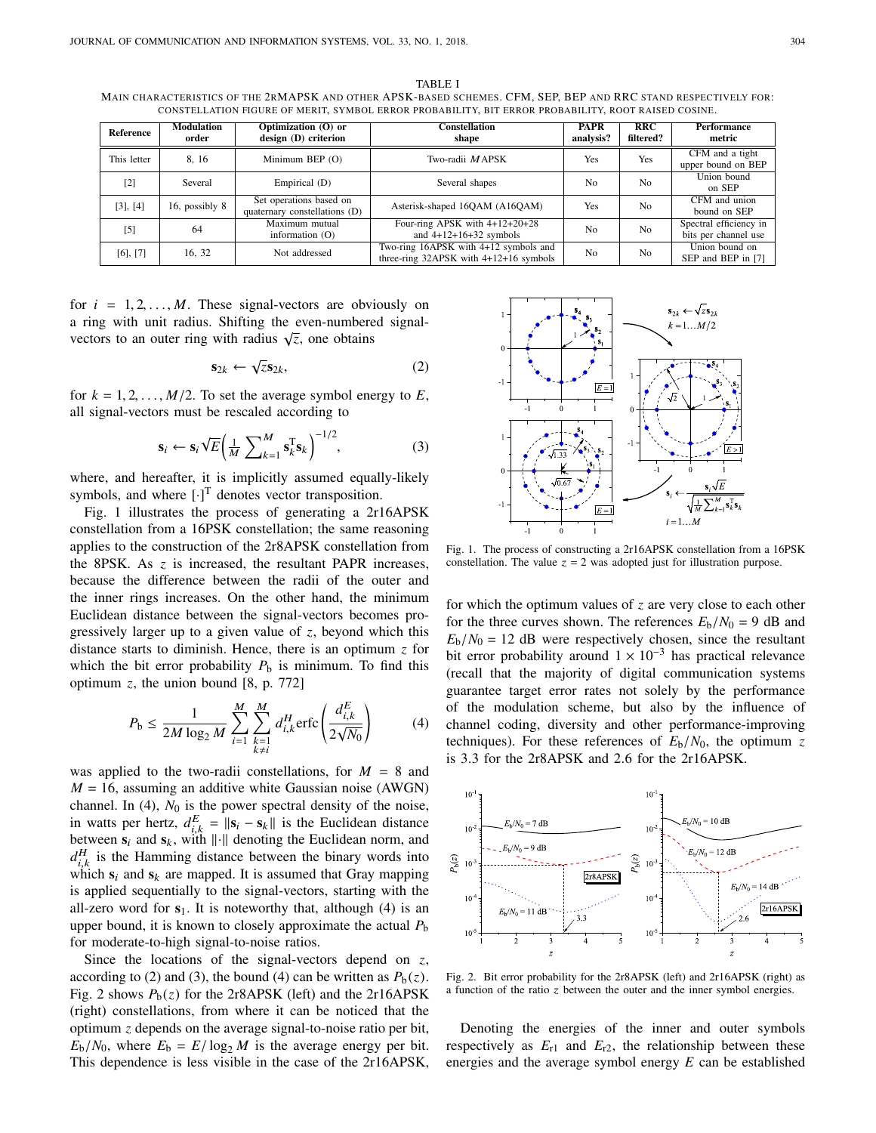TABLE I MAIN CHARACTERISTICS OF THE 2RMAPSK AND OTHER APSK-BASED SCHEMES. CFM, SEP, BEP AND RRC STAND RESPECTIVELY FOR: CONSTELLATION FIGURE OF MERIT, SYMBOL ERROR PROBABILITY, BIT ERROR PROBABILITY, ROOT RAISED COSINE.

| Reference     | <b>Modulation</b><br>order | Optimization (O) or<br>design (D) criterion              | <b>Constellation</b><br>shape                                                       | <b>PAPR</b><br>analysis? | RRC<br>filtered? | <b>Performance</b><br>metric                   |
|---------------|----------------------------|----------------------------------------------------------|-------------------------------------------------------------------------------------|--------------------------|------------------|------------------------------------------------|
| This letter   | 8.16                       | Minimum BEP (O)                                          | Two-radii MAPSK                                                                     | Yes                      | Yes              | CFM and a tight<br>upper bound on BEP          |
| [2]           | Several                    | Empirical (D)                                            | Several shapes                                                                      | N <sub>0</sub>           | N <sub>0</sub>   | Union bound<br>on SEP                          |
| $[3]$ , $[4]$ | 16, possibly 8             | Set operations based on<br>quaternary constellations (D) | Asterisk-shaped 16QAM (A16QAM)                                                      | Yes                      | N <sub>0</sub>   | CFM and union<br>bound on SEP                  |
| $[5]$         | 64                         | Maximum mutual<br>information $(0)$                      | Four-ring APSK with $4+12+20+28$<br>and $4+12+16+32$ symbols                        | N <sub>0</sub>           | N <sub>0</sub>   | Spectral efficiency in<br>bits per channel use |
| $[6]$ , $[7]$ | 16, 32                     | Not addressed                                            | Two-ring 16APSK with 4+12 symbols and<br>three-ring $32APSK$ with $4+12+16$ symbols | N <sub>0</sub>           | N <sub>0</sub>   | Union bound on<br>SEP and BEP in [7]           |

for  $i = 1, 2, ..., M$ . These signal-vectors are obviously on a ring with unit radius. Shifting the even-numbered signalvectors to an outer ring with radius  $\sqrt{z}$ , one obtains

$$
\mathbf{s}_{2k} \leftarrow \sqrt{z}\mathbf{s}_{2k},\tag{2}
$$

for  $k = 1, 2, \ldots, M/2$ . To set the average symbol energy to  $E$ , all signal-vectors must be rescaled according to

$$
\mathbf{s}_i \leftarrow \mathbf{s}_i \sqrt{E} \left( \frac{1}{M} \sum_{k=1}^{M} \mathbf{s}_k^{\mathrm{T}} \mathbf{s}_k \right)^{-1/2},\tag{3}
$$

where, and hereafter, it is implicitly assumed equally-likely symbols, and where  $[\cdot]^\text{T}$  denotes vector transposition.

Fig. 1 illustrates the process of generating a 2r16APSK constellation from a 16PSK constellation; the same reasoning applies to the construction of the 2r8APSK constellation from the 8PSK. As *z* is increased, the resultant PAPR increases, because the difference between the radii of the outer and the inner rings increases. On the other hand, the minimum Euclidean distance between the signal-vectors becomes progressively larger up to a given value of *z*, beyond which this distance starts to diminish. Hence, there is an optimum *z* for which the bit error probability  $P_b$  is minimum. To find this optimum *z*, the union bound [8, p. 772]

$$
P_{\rm b} \le \frac{1}{2M \log_2 M} \sum_{i=1}^{M} \sum_{\substack{k=1 \ k \neq i}}^{M} d_{i,k}^H \, \text{erfc} \left( \frac{d_{i,k}^E}{2\sqrt{N_0}} \right) \tag{4}
$$

was applied to the two-radii constellations, for  $M = 8$  and  $M = 16$ , assuming an additive white Gaussian noise (AWGN) channel. In  $(4)$ ,  $N_0$  is the power spectral density of the noise, in watts per hertz,  $d_{i,k}^E = ||\mathbf{s}_i - \mathbf{s}_k||$  is the Euclidean distance between  $\mathbf{s}_i$  and  $\mathbf{s}_k$ , with  $\|\cdot\|$  denoting the Euclidean norm, and  $d_{i,k}^H$  is the Hamming distance between the binary words into  $u_{i,k}$  is the Hamming distance between the only words into<br>which  $s_i$  and  $s_k$  are mapped. It is assumed that Gray mapping is applied sequentially to the signal-vectors, starting with the all-zero word for  $s_1$ . It is noteworthy that, although  $(4)$  is an upper bound, it is known to closely approximate the actual  $P<sub>b</sub>$ for moderate-to-high signal-to-noise ratios.

Since the locations of the signal-vectors depend on *z*, according to (2) and (3), the bound (4) can be written as  $P_b(z)$ . Fig. 2 shows  $P_b(z)$  for the 2r8APSK (left) and the 2r16APSK (right) constellations, from where it can be noticed that the optimum *z* depends on the average signal-to-noise ratio per bit,  $E_b/N_0$ , where  $E_b = E/\log_2 M$  is the average energy per bit. This dependence is less visible in the case of the 2r16APSK,



Fig. 1. The process of constructing a 2r16APSK constellation from a 16PSK constellation. The value  $z = 2$  was adopted just for illustration purpose.

for which the optimum values of *z* are very close to each other for the three curves shown. The references  $E_b/N_0 = 9$  dB and  $E_{\rm b}/N_0 = 12$  dB were respectively chosen, since the resultant bit error probability around  $1 \times 10^{-3}$  has practical relevance (recall that the majority of digital communication systems guarantee target error rates not solely by the performance of the modulation scheme, but also by the influence of channel coding, diversity and other performance-improving techniques). For these references of  $E_b/N_0$ , the optimum *z* is <sup>3</sup>.<sup>3</sup> for the 2r8APSK and <sup>2</sup>.<sup>6</sup> for the 2r16APSK.



Fig. 2. Bit error probability for the 2r8APSK (left) and 2r16APSK (right) as a function of the ratio z between the outer and the inner symbol energies.

Denoting the energies of the inner and outer symbols respectively as  $E_{r1}$  and  $E_{r2}$ , the relationship between these energies and the average symbol energy *E* can be established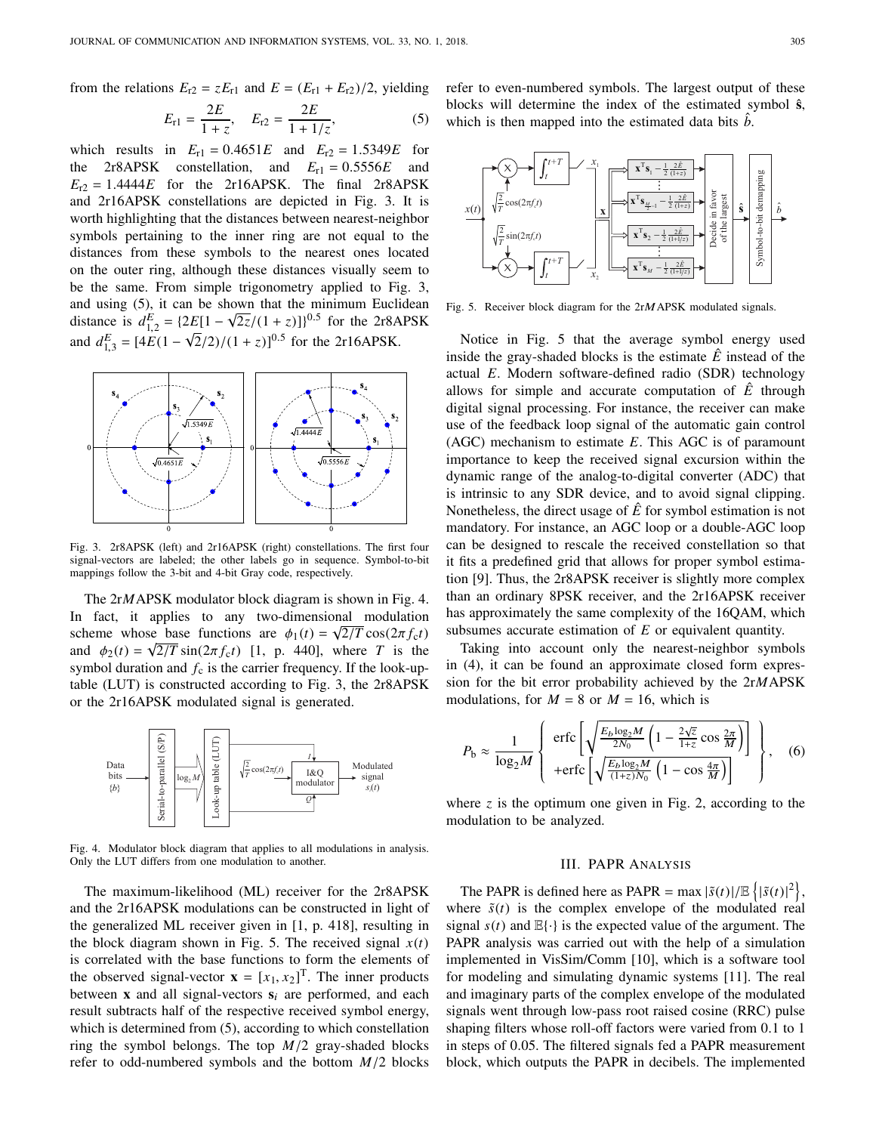from the relations  $E_{r2} = zE_{r1}$  and  $E = (E_{r1} + E_{r2})/2$ , yielding

$$
E_{r1} = \frac{2E}{1+z}, \quad E_{r2} = \frac{2E}{1+1/z}, \tag{5}
$$

which results in  $E_{r1} = 0.4651E$  and  $E_{r2} = 1.5349E$  for<br>the 2r8APSK constellation and  $E_{r1} = 0.5556E$  and the 2r8APSK constellation, and  $E_{r1} = 0.5556E$  and  $E_{r2} = 1.4444E$  for the 2r16APSK. The final 2r8APSK and 2r16APSK constellations are depicted in Fig. 3. It is worth highlighting that the distances between nearest-neighbor symbols pertaining to the inner ring are not equal to the distances from these symbols to the nearest ones located on the outer ring, although these distances visually seem to be the same. From simple trigonometry applied to Fig. 3, and using  $(5)$ , it can be shown that the minimum Euclidean distance is  $d_{1,2}^E = \{2E[1 - \sqrt{2z}/(1 + z)]\}^{0.5}$  for the 2r8APSK and  $d_{1,3}^E = [4E(1 -$ √  $(2/2)/(1 + z)^{0.5}$  for the 2r16APSK.



Fig. 3. 2r8APSK (left) and 2r16APSK (right) constellations. The first four signal-vectors are labeled; the other labels go in sequence. Symbol-to-bit mappings follow the 3-bit and 4-bit Gray code, respectively.

The 2r*M*APSK modulator block diagram is shown in Fig. 4. In fact, it applies to any two-dimensional modulation scheme whose base functions are  $\phi_1(t) = \sqrt{2/T} \cos(2\pi f_c t)$ <br>and  $\phi_2(t) = \sqrt{2/T} \sin(2\pi f_c t)$  [1 n 440] where T is the and  $\phi_2(t) = \sqrt{2/T} \sin(2\pi f_c t)$  [1, p. 440], where *T* is the symbol duration and *f* is the carrier frequency. If the look-unsymbol duration and  $f_c$  is the carrier frequency. If the look-uptable (LUT) is constructed according to Fig. 3, the 2r8APSK or the 2r16APSK modulated signal is generated.



Fig. 4. Modulator block diagram that applies to all modulations in analysis. Only the LUT differs from one modulation to another.

The maximum-likelihood (ML) receiver for the 2r8APSK and the 2r16APSK modulations can be constructed in light of the generalized ML receiver given in [1, p. 418], resulting in the block diagram shown in Fig. 5. The received signal  $x(t)$ is correlated with the base functions to form the elements of the observed signal-vector  $\mathbf{x} = [x_1, x_2]^T$ . The inner products<br>between **x** and all signal-vectors **s**, are performed, and each between **x** and all signal-vectors  $s_i$  are performed, and each result subtracts half of the respective received symbol energy, which is determined from  $(5)$ , according to which constellation ring the symbol belongs. The top *<sup>M</sup>*/<sup>2</sup> gray-shaded blocks refer to odd-numbered symbols and the bottom *<sup>M</sup>*/<sup>2</sup> blocks

refer to even-numbered symbols. The largest output of these blocks will determine the index of the estimated symbol **s**ˆ, which is then mapped into the estimated data bits  $\hat{b}$ .



Fig. 5. Receiver block diagram for the 2rMAPSK modulated signals.

Notice in Fig. 5 that the average symbol energy used inside the gray-shaded blocks is the estimate  $\hat{E}$  instead of the actual *E*. Modern software-defined radio (SDR) technology allows for simple and accurate computation of  $\hat{E}$  through digital signal processing. For instance, the receiver can make use of the feedback loop signal of the automatic gain control (AGC) mechanism to estimate *E*. This AGC is of paramount importance to keep the received signal excursion within the dynamic range of the analog-to-digital converter (ADC) that is intrinsic to any SDR device, and to avoid signal clipping. Nonetheless, the direct usage of  $\hat{E}$  for symbol estimation is not mandatory. For instance, an AGC loop or a double-AGC loop can be designed to rescale the received constellation so that it fits a predefined grid that allows for proper symbol estimation [9]. Thus, the 2r8APSK receiver is slightly more complex than an ordinary 8PSK receiver, and the 2r16APSK receiver has approximately the same complexity of the 16QAM, which subsumes accurate estimation of *E* or equivalent quantity.

Taking into account only the nearest-neighbor symbols in (4), it can be found an approximate closed form expression for the bit error probability achieved by the 2r*M*APSK modulations, for  $M = 8$  or  $M = 16$ , which is

$$
P_{\rm b} \approx \frac{1}{\log_2 M} \left\{ \begin{array}{c} \text{erfc} \left[ \sqrt{\frac{E_b \log_2 M}{2N_0} \left( 1 - \frac{2\sqrt{z}}{1+z} \cos \frac{2\pi}{M} \right)} \right] \\ + \text{erfc} \left[ \sqrt{\frac{E_b \log_2 M}{(1+z)N_0} \left( 1 - \cos \frac{4\pi}{M} \right)} \right] \end{array} \right\}, \quad (6)
$$

where  $z$  is the optimum one given in Fig. 2, according to the modulation to be analyzed.

#### III. PAPR ANALYSIS

 $\mathbf{r}$ 

)

The PAPR is defined here as PAPR =  $\max |\tilde{s}(t)| / \mathbb{E} \{|\tilde{s}(t)|^2\}$ , where  $\tilde{s}(t)$  is the complex envelope of the modulated real signal  $s(t)$  and  $\mathbb{E}\{\cdot\}$  is the expected value of the argument. The PAPR analysis was carried out with the help of a simulation implemented in VisSim/Comm [10], which is a software tool for modeling and simulating dynamic systems [11]. The real and imaginary parts of the complex envelope of the modulated signals went through low-pass root raised cosine (RRC) pulse shaping filters whose roll-off factors were varied from <sup>0</sup>.<sup>1</sup> to <sup>1</sup> in steps of <sup>0</sup>.05. The filtered signals fed a PAPR measurement block, which outputs the PAPR in decibels. The implemented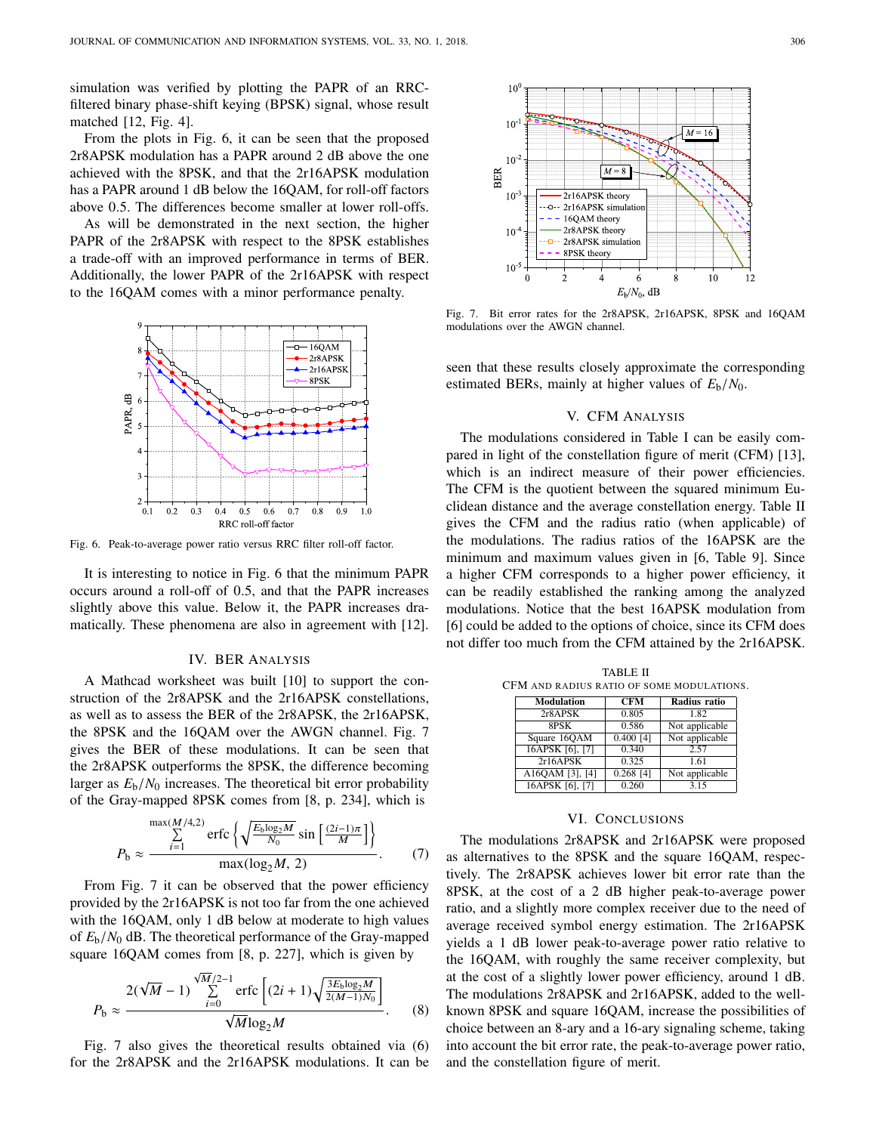simulation was verified by plotting the PAPR of an RRCfiltered binary phase-shift keying (BPSK) signal, whose result matched  $[12, Fig. 4]$ .

From the plots in Fig. 6, it can be seen that the proposed 2r8APSK modulation has a PAPR around 2 dB above the one achieved with the 8PSK, and that the 2r16APSK modulation has a PAPR around 1 dB below the 16QAM, for roll-off factors above <sup>0</sup>.5. The differences become smaller at lower roll-offs.

As will be demonstrated in the next section, the higher PAPR of the 2r8APSK with respect to the 8PSK establishes a trade-off with an improved performance in terms of BER. Additionally, the lower PAPR of the 2r16APSK with respect to the 16QAM comes with a minor performance penalty.



Fig. 6. Peak-to-average power ratio versus RRC filter roll-off factor.

It is interesting to notice in Fig. 6 that the minimum PAPR occurs around a roll-off of <sup>0</sup>.5, and that the PAPR increases slightly above this value. Below it, the PAPR increases dramatically. These phenomena are also in agreement with [12].

## IV. BER ANALYSIS

A Mathcad worksheet was built [10] to support the construction of the 2r8APSK and the 2r16APSK constellations, as well as to assess the BER of the 2r8APSK, the 2r16APSK, the 8PSK and the 16QAM over the AWGN channel. Fig. 7 gives the BER of these modulations. It can be seen that the 2r8APSK outperforms the 8PSK, the difference becoming larger as  $E_b/N_0$  increases. The theoretical bit error probability of the Gray-mapped 8PSK comes from [8, p. 234], which is

$$
P_{\rm b} \approx \frac{\sum_{i=1}^{\max(M/4,2)} \text{erfc}\left\{\sqrt{\frac{E_{\rm b}\log_2 M}{N_0}} \sin\left[\frac{(2i-1)\pi}{M}\right]\right\}}{\max(\log_2 M, 2)}.
$$
 (7)

From Fig. 7 it can be observed that the power efficiency provided by the 2r16APSK is not too far from the one achieved with the 16QAM, only 1 dB below at moderate to high values of *<sup>E</sup>*b/*N*<sup>0</sup> dB. The theoretical performance of the Gray-mapped square 16QAM comes from [8, p. 227], which is given by

$$
P_{\rm b} \approx \frac{2(\sqrt{M} - 1) \sum_{i=0}^{\sqrt{M}/2 - 1} \text{erfc}\left[ (2i + 1) \sqrt{\frac{3E_{\rm b} \log_2 M}{2(M - 1)N_0}} \right]}{\sqrt{M} \log_2 M}.
$$
 (8)

Fig. 7 also gives the theoretical results obtained via (6)



Fig. 7. Bit error rates for the 2r8APSK, 2r16APSK, 8PSK and 16QAM modulations over the AWGN channel.

seen that these results closely approximate the corresponding estimated BERs, mainly at higher values of  $E_b/N_0$ .

## V. CFM ANALYSIS

The modulations considered in Table I can be easily compared in light of the constellation figure of merit (CFM) [13], which is an indirect measure of their power efficiencies. The CFM is the quotient between the squared minimum Euclidean distance and the average constellation energy. Table II gives the CFM and the radius ratio (when applicable) of the modulations. The radius ratios of the 16APSK are the minimum and maximum values given in [6, Table 9]. Since a higher CFM corresponds to a higher power efficiency, it can be readily established the ranking among the analyzed modulations. Notice that the best 16APSK modulation from [6] could be added to the options of choice, since its CFM does not differ too much from the CFM attained by the 2r16APSK.

| CFM AND RADIUS RATIO OF SOME MODULATIONS. |             |                     |  |
|-------------------------------------------|-------------|---------------------|--|
| <b>Modulation</b>                         | <b>CFM</b>  | <b>Radius ratio</b> |  |
| 2r8APSK                                   | 0.805       | 1.82                |  |
| 8PSK                                      | 0.586       | Not applicable      |  |
| Square 16QAM                              | $0.400$ [4] | Not applicable      |  |
| 16APSK [6], [7]                           | 0.340       | 2.57                |  |
| 2r16APSK                                  | 0.325       | 1.61                |  |
| A16QAM [3], [4]                           | $0.268$ [4] | Not applicable      |  |
| 16APSK [6], [7]                           | 0.260       | 3.15                |  |

TABLE II

#### VI. CONCLUSIONS

for the 160 AM comes with a minor performance penalty.<br>
Fig. 7. But each and the control of the 2r8APSK and the 2rist of the 2ris of the 2ris of the 2ris of the 2ris of the 2ris of the 2ris of the 2ris of the 2ris of the The modulations 2r8APSK and 2r16APSK were proposed as alternatives to the 8PSK and the square 16QAM, respectively. The 2r8APSK achieves lower bit error rate than the 8PSK, at the cost of a 2 dB higher peak-to-average power ratio, and a slightly more complex receiver due to the need of average received symbol energy estimation. The 2r16APSK yields a 1 dB lower peak-to-average power ratio relative to the 16QAM, with roughly the same receiver complexity, but at the cost of a slightly lower power efficiency, around 1 dB. The modulations 2r8APSK and 2r16APSK, added to the wellknown 8PSK and square 16QAM, increase the possibilities of choice between an 8-ary and a 16-ary signaling scheme, taking into account the bit error rate, the peak-to-average power ratio, and the constellation figure of merit.